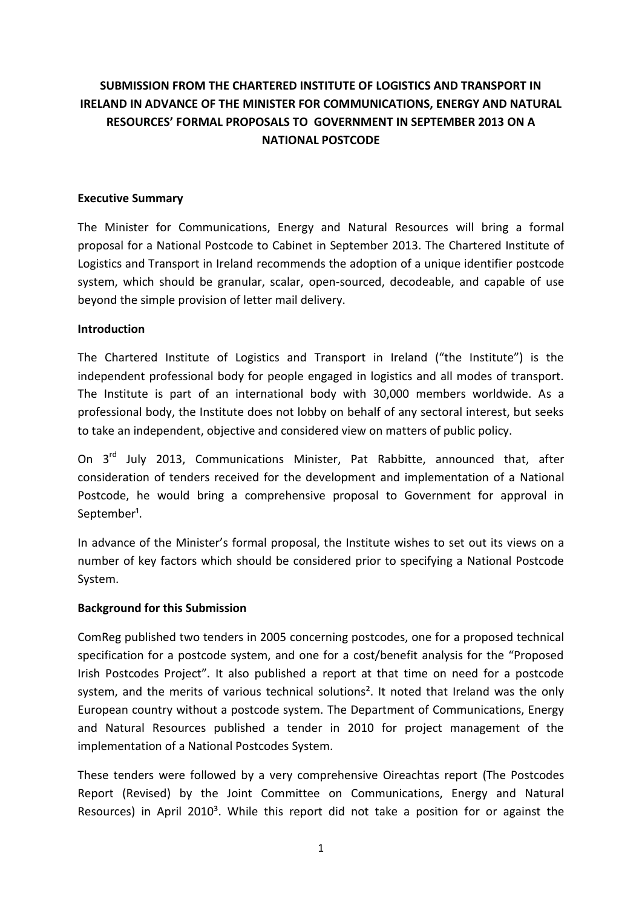# **SUBMISSION FROM THE CHARTERED INSTITUTE OF LOGISTICS AND TRANSPORT IN IRELAND IN ADVANCE OF THE MINISTER FOR COMMUNICATIONS, ENERGY AND NATURAL RESOURCES' FORMAL PROPOSALS TO GOVERNMENT IN SEPTEMBER 2013 ON A NATIONAL POSTCODE**

#### **Executive Summary**

The Minister for Communications, Energy and Natural Resources will bring a formal proposal for a National Postcode to Cabinet in September 2013. The Chartered Institute of Logistics and Transport in Ireland recommends the adoption of a unique identifier postcode system, which should be granular, scalar, open-sourced, decodeable, and capable of use beyond the simple provision of letter mail delivery.

#### **Introduction**

The Chartered Institute of Logistics and Transport in Ireland ("the Institute") is the independent professional body for people engaged in logistics and all modes of transport. The Institute is part of an international body with 30,000 members worldwide. As a professional body, the Institute does not lobby on behalf of any sectoral interest, but seeks to take an independent, objective and considered view on matters of public policy.

On 3<sup>rd</sup> July 2013, Communications Minister, Pat Rabbitte, announced that, after consideration of tenders received for the development and implementation of a National Postcode, he would bring a comprehensive proposal to Government for approval in September<sup>1</sup>.

In advance of the Minister's formal proposal, the Institute wishes to set out its views on a number of key factors which should be considered prior to specifying a National Postcode System.

#### **Background for this Submission**

ComReg published two tenders in 2005 concerning postcodes, one for a proposed technical specification for a postcode system, and one for a cost/benefit analysis for the "Proposed Irish Postcodes Project". It also published a report at that time on need for a postcode system, and the merits of various technical solutions<sup>2</sup>. It noted that Ireland was the only European country without a postcode system. The Department of Communications, Energy and Natural Resources published a tender in 2010 for project management of the implementation of a National Postcodes System.

These tenders were followed by a very comprehensive Oireachtas report (The Postcodes Report (Revised) by the Joint Committee on Communications, Energy and Natural Resources) in April 2010<sup>3</sup>. While this report did not take a position for or against the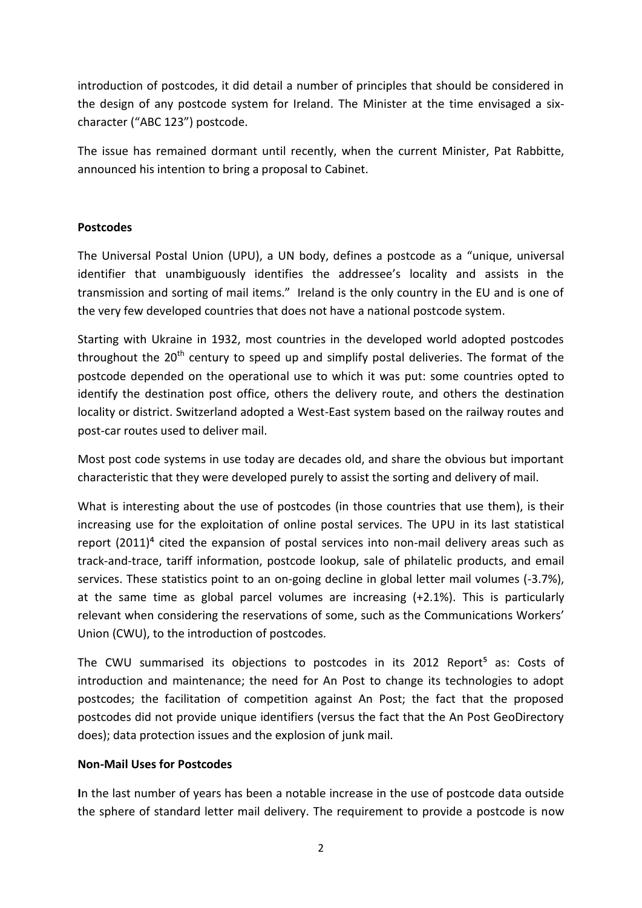introduction of postcodes, it did detail a number of principles that should be considered in the design of any postcode system for Ireland. The Minister at the time envisaged a sixcharacter ("ABC 123") postcode.

The issue has remained dormant until recently, when the current Minister, Pat Rabbitte, announced his intention to bring a proposal to Cabinet.

## **Postcodes**

The Universal Postal Union (UPU), a UN body, defines a postcode as a "unique, universal identifier that unambiguously identifies the addressee's locality and assists in the transmission and sorting of mail items." Ireland is the only country in the EU and is one of the very few developed countries that does not have a national postcode system.

Starting with Ukraine in 1932, most countries in the developed world adopted postcodes throughout the  $20<sup>th</sup>$  century to speed up and simplify postal deliveries. The format of the postcode depended on the operational use to which it was put: some countries opted to identify the destination post office, others the delivery route, and others the destination locality or district. Switzerland adopted a West-East system based on the railway routes and post-car routes used to deliver mail.

Most post code systems in use today are decades old, and share the obvious but important characteristic that they were developed purely to assist the sorting and delivery of mail.

What is interesting about the use of postcodes (in those countries that use them), is their increasing use for the exploitation of online postal services. The UPU in its last statistical report (2011)<sup>4</sup> cited the expansion of postal services into non-mail delivery areas such as track-and-trace, tariff information, postcode lookup, sale of philatelic products, and email services. These statistics point to an on-going decline in global letter mail volumes (-3.7%), at the same time as global parcel volumes are increasing (+2.1%). This is particularly relevant when considering the reservations of some, such as the Communications Workers' Union (CWU), to the introduction of postcodes.

The CWU summarised its objections to postcodes in its 2012 Report<sup>5</sup> as: Costs of introduction and maintenance; the need for An Post to change its technologies to adopt postcodes; the facilitation of competition against An Post; the fact that the proposed postcodes did not provide unique identifiers (versus the fact that the An Post GeoDirectory does); data protection issues and the explosion of junk mail.

## **Non-Mail Uses for Postcodes**

**I**n the last number of years has been a notable increase in the use of postcode data outside the sphere of standard letter mail delivery. The requirement to provide a postcode is now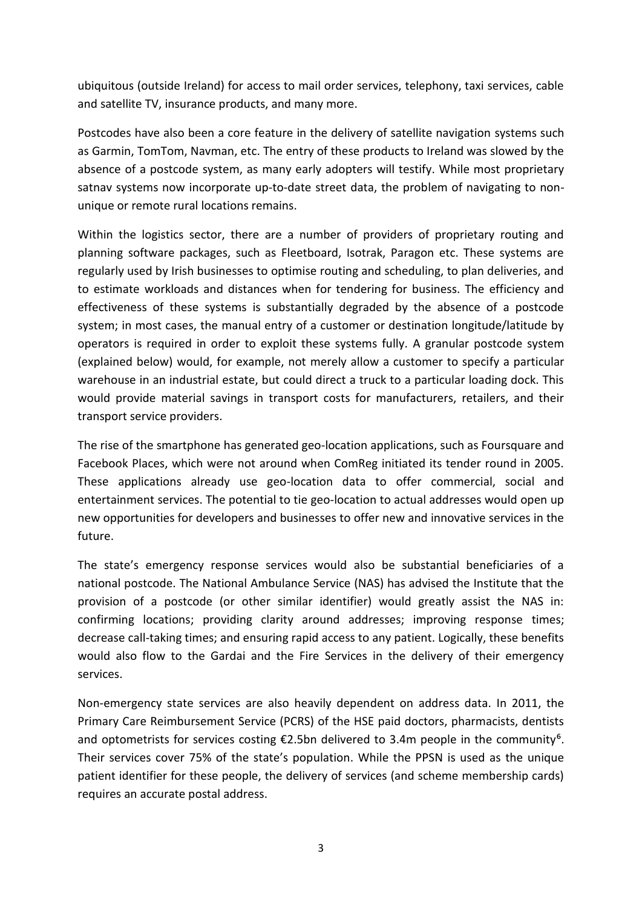ubiquitous (outside Ireland) for access to mail order services, telephony, taxi services, cable and satellite TV, insurance products, and many more.

Postcodes have also been a core feature in the delivery of satellite navigation systems such as Garmin, TomTom, Navman, etc. The entry of these products to Ireland was slowed by the absence of a postcode system, as many early adopters will testify. While most proprietary satnav systems now incorporate up-to-date street data, the problem of navigating to nonunique or remote rural locations remains.

Within the logistics sector, there are a number of providers of proprietary routing and planning software packages, such as Fleetboard, Isotrak, Paragon etc. These systems are regularly used by Irish businesses to optimise routing and scheduling, to plan deliveries, and to estimate workloads and distances when for tendering for business. The efficiency and effectiveness of these systems is substantially degraded by the absence of a postcode system; in most cases, the manual entry of a customer or destination longitude/latitude by operators is required in order to exploit these systems fully. A granular postcode system (explained below) would, for example, not merely allow a customer to specify a particular warehouse in an industrial estate, but could direct a truck to a particular loading dock. This would provide material savings in transport costs for manufacturers, retailers, and their transport service providers.

The rise of the smartphone has generated geo-location applications, such as Foursquare and Facebook Places, which were not around when ComReg initiated its tender round in 2005. These applications already use geo-location data to offer commercial, social and entertainment services. The potential to tie geo-location to actual addresses would open up new opportunities for developers and businesses to offer new and innovative services in the future.

The state's emergency response services would also be substantial beneficiaries of a national postcode. The National Ambulance Service (NAS) has advised the Institute that the provision of a postcode (or other similar identifier) would greatly assist the NAS in: confirming locations; providing clarity around addresses; improving response times; decrease call-taking times; and ensuring rapid access to any patient. Logically, these benefits would also flow to the Gardai and the Fire Services in the delivery of their emergency services.

Non-emergency state services are also heavily dependent on address data. In 2011, the Primary Care Reimbursement Service (PCRS) of the HSE paid doctors, pharmacists, dentists and optometrists for services costing  $\epsilon$ 2.5bn delivered to 3.4m people in the community<sup>6</sup>. Their services cover 75% of the state's population. While the PPSN is used as the unique patient identifier for these people, the delivery of services (and scheme membership cards) requires an accurate postal address.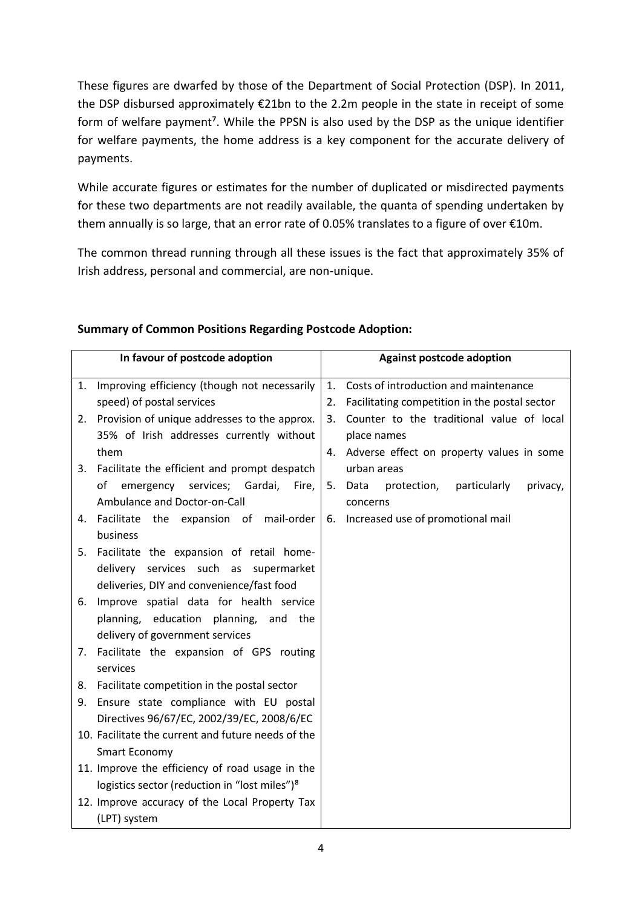These figures are dwarfed by those of the Department of Social Protection (DSP). In 2011, the DSP disbursed approximately €21bn to the 2.2m people in the state in receipt of some form of welfare payment<sup>7</sup>. While the PPSN is also used by the DSP as the unique identifier for welfare payments, the home address is a key component for the accurate delivery of payments.

While accurate figures or estimates for the number of duplicated or misdirected payments for these two departments are not readily available, the quanta of spending undertaken by them annually is so large, that an error rate of 0.05% translates to a figure of over €10m.

The common thread running through all these issues is the fact that approximately 35% of Irish address, personal and commercial, are non-unique.

|                                                 | In favour of postcode adoption                            |    | <b>Against postcode adoption</b>                   |
|-------------------------------------------------|-----------------------------------------------------------|----|----------------------------------------------------|
| 1.                                              | Improving efficiency (though not necessarily              | 1. | Costs of introduction and maintenance              |
|                                                 | speed) of postal services                                 | 2. | Facilitating competition in the postal sector      |
| 2.                                              | Provision of unique addresses to the approx.              | 3. | Counter to the traditional value of local          |
|                                                 | 35% of Irish addresses currently without                  |    | place names                                        |
|                                                 | them                                                      |    | 4. Adverse effect on property values in some       |
| 3.                                              | Facilitate the efficient and prompt despatch              |    | urban areas                                        |
|                                                 | emergency<br>services; Gardai,<br>Fire,<br>of             |    | 5. Data<br>protection,<br>particularly<br>privacy, |
|                                                 | Ambulance and Doctor-on-Call                              |    | concerns                                           |
| 4.                                              | Facilitate the expansion of mail-order                    | 6. | Increased use of promotional mail                  |
|                                                 | business                                                  |    |                                                    |
| 5.                                              | Facilitate the expansion of retail home-                  |    |                                                    |
|                                                 | delivery services such as supermarket                     |    |                                                    |
|                                                 | deliveries, DIY and convenience/fast food                 |    |                                                    |
| 6.                                              | Improve spatial data for health service                   |    |                                                    |
|                                                 | planning, education planning, and the                     |    |                                                    |
|                                                 | delivery of government services                           |    |                                                    |
| 7.                                              | Facilitate the expansion of GPS routing                   |    |                                                    |
|                                                 | services                                                  |    |                                                    |
| 8.                                              | Facilitate competition in the postal sector               |    |                                                    |
| 9.                                              | Ensure state compliance with EU postal                    |    |                                                    |
|                                                 | Directives 96/67/EC, 2002/39/EC, 2008/6/EC                |    |                                                    |
|                                                 | 10. Facilitate the current and future needs of the        |    |                                                    |
|                                                 | <b>Smart Economy</b>                                      |    |                                                    |
| 11. Improve the efficiency of road usage in the |                                                           |    |                                                    |
|                                                 | logistics sector (reduction in "lost miles") <sup>8</sup> |    |                                                    |
|                                                 | 12. Improve accuracy of the Local Property Tax            |    |                                                    |
|                                                 | (LPT) system                                              |    |                                                    |

# **Summary of Common Positions Regarding Postcode Adoption:**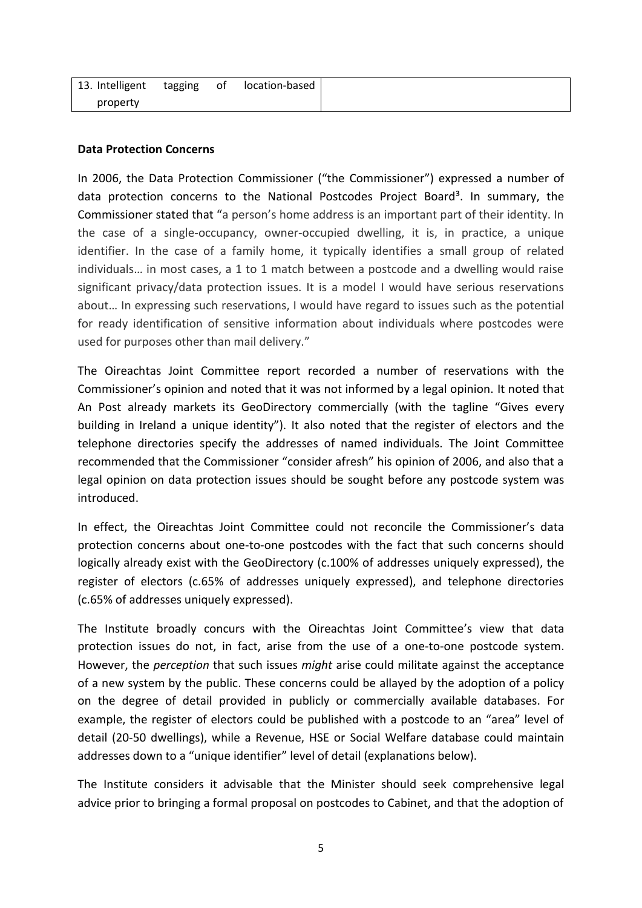| 13. Intelligent | tagging | of | location-based |
|-----------------|---------|----|----------------|
| property        |         |    |                |

## **Data Protection Concerns**

In 2006, the Data Protection Commissioner ("the Commissioner") expressed a number of data protection concerns to the National Postcodes Project Board<sup>3</sup>. In summary, the Commissioner stated that "a person's home address is an important part of their identity. In the case of a single-occupancy, owner-occupied dwelling, it is, in practice, a unique identifier. In the case of a family home, it typically identifies a small group of related individuals… in most cases, a 1 to 1 match between a postcode and a dwelling would raise significant privacy/data protection issues. It is a model I would have serious reservations about… In expressing such reservations, I would have regard to issues such as the potential for ready identification of sensitive information about individuals where postcodes were used for purposes other than mail delivery."

The Oireachtas Joint Committee report recorded a number of reservations with the Commissioner's opinion and noted that it was not informed by a legal opinion. It noted that An Post already markets its GeoDirectory commercially (with the tagline "Gives every building in Ireland a unique identity"). It also noted that the register of electors and the telephone directories specify the addresses of named individuals. The Joint Committee recommended that the Commissioner "consider afresh" his opinion of 2006, and also that a legal opinion on data protection issues should be sought before any postcode system was introduced.

In effect, the Oireachtas Joint Committee could not reconcile the Commissioner's data protection concerns about one-to-one postcodes with the fact that such concerns should logically already exist with the GeoDirectory (c.100% of addresses uniquely expressed), the register of electors (c.65% of addresses uniquely expressed), and telephone directories (c.65% of addresses uniquely expressed).

The Institute broadly concurs with the Oireachtas Joint Committee's view that data protection issues do not, in fact, arise from the use of a one-to-one postcode system. However, the *perception* that such issues *might* arise could militate against the acceptance of a new system by the public. These concerns could be allayed by the adoption of a policy on the degree of detail provided in publicly or commercially available databases. For example, the register of electors could be published with a postcode to an "area" level of detail (20-50 dwellings), while a Revenue, HSE or Social Welfare database could maintain addresses down to a "unique identifier" level of detail (explanations below).

The Institute considers it advisable that the Minister should seek comprehensive legal advice prior to bringing a formal proposal on postcodes to Cabinet, and that the adoption of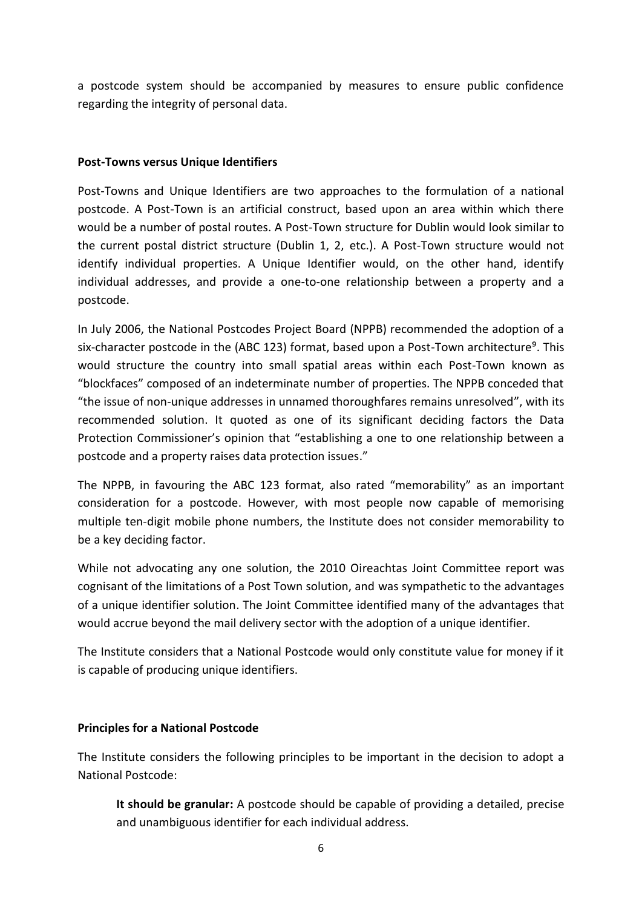a postcode system should be accompanied by measures to ensure public confidence regarding the integrity of personal data.

## **Post-Towns versus Unique Identifiers**

Post-Towns and Unique Identifiers are two approaches to the formulation of a national postcode. A Post-Town is an artificial construct, based upon an area within which there would be a number of postal routes. A Post-Town structure for Dublin would look similar to the current postal district structure (Dublin 1, 2, etc.). A Post-Town structure would not identify individual properties. A Unique Identifier would, on the other hand, identify individual addresses, and provide a one-to-one relationship between a property and a postcode.

In July 2006, the National Postcodes Project Board (NPPB) recommended the adoption of a six-character postcode in the (ABC 123) format, based upon a Post-Town architecture<sup>9</sup>. This would structure the country into small spatial areas within each Post-Town known as "blockfaces" composed of an indeterminate number of properties. The NPPB conceded that "the issue of non-unique addresses in unnamed thoroughfares remains unresolved", with its recommended solution. It quoted as one of its significant deciding factors the Data Protection Commissioner's opinion that "establishing a one to one relationship between a postcode and a property raises data protection issues."

The NPPB, in favouring the ABC 123 format, also rated "memorability" as an important consideration for a postcode. However, with most people now capable of memorising multiple ten-digit mobile phone numbers, the Institute does not consider memorability to be a key deciding factor.

While not advocating any one solution, the 2010 Oireachtas Joint Committee report was cognisant of the limitations of a Post Town solution, and was sympathetic to the advantages of a unique identifier solution. The Joint Committee identified many of the advantages that would accrue beyond the mail delivery sector with the adoption of a unique identifier.

The Institute considers that a National Postcode would only constitute value for money if it is capable of producing unique identifiers.

## **Principles for a National Postcode**

The Institute considers the following principles to be important in the decision to adopt a National Postcode:

**It should be granular:** A postcode should be capable of providing a detailed, precise and unambiguous identifier for each individual address.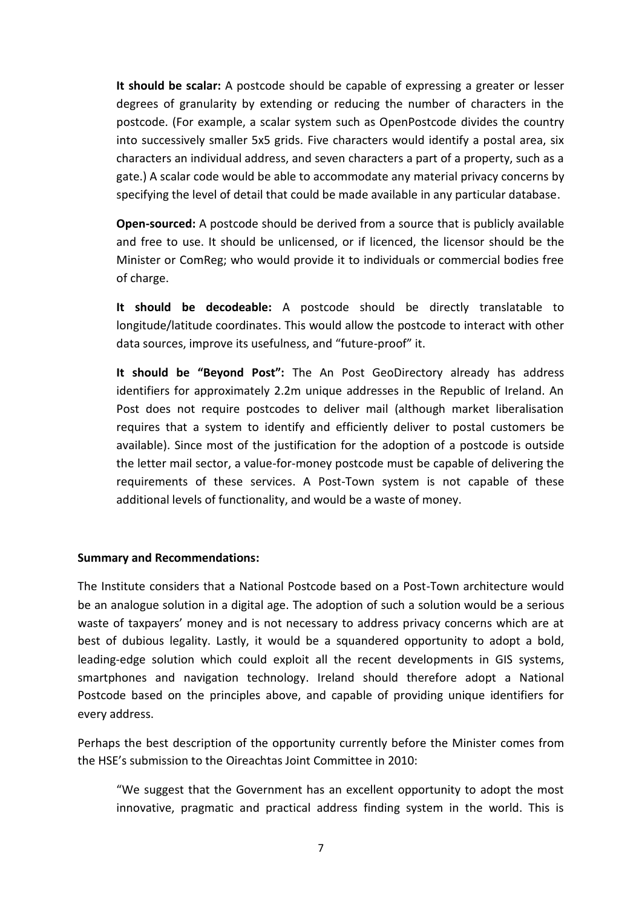**It should be scalar:** A postcode should be capable of expressing a greater or lesser degrees of granularity by extending or reducing the number of characters in the postcode. (For example, a scalar system such as OpenPostcode divides the country into successively smaller 5x5 grids. Five characters would identify a postal area, six characters an individual address, and seven characters a part of a property, such as a gate.) A scalar code would be able to accommodate any material privacy concerns by specifying the level of detail that could be made available in any particular database.

**Open-sourced:** A postcode should be derived from a source that is publicly available and free to use. It should be unlicensed, or if licenced, the licensor should be the Minister or ComReg; who would provide it to individuals or commercial bodies free of charge.

**It should be decodeable:** A postcode should be directly translatable to longitude/latitude coordinates. This would allow the postcode to interact with other data sources, improve its usefulness, and "future-proof" it.

**It should be "Beyond Post":** The An Post GeoDirectory already has address identifiers for approximately 2.2m unique addresses in the Republic of Ireland. An Post does not require postcodes to deliver mail (although market liberalisation requires that a system to identify and efficiently deliver to postal customers be available). Since most of the justification for the adoption of a postcode is outside the letter mail sector, a value-for-money postcode must be capable of delivering the requirements of these services. A Post-Town system is not capable of these additional levels of functionality, and would be a waste of money.

#### **Summary and Recommendations:**

The Institute considers that a National Postcode based on a Post-Town architecture would be an analogue solution in a digital age. The adoption of such a solution would be a serious waste of taxpayers' money and is not necessary to address privacy concerns which are at best of dubious legality. Lastly, it would be a squandered opportunity to adopt a bold, leading-edge solution which could exploit all the recent developments in GIS systems, smartphones and navigation technology. Ireland should therefore adopt a National Postcode based on the principles above, and capable of providing unique identifiers for every address.

Perhaps the best description of the opportunity currently before the Minister comes from the HSE's submission to the Oireachtas Joint Committee in 2010:

"We suggest that the Government has an excellent opportunity to adopt the most innovative, pragmatic and practical address finding system in the world. This is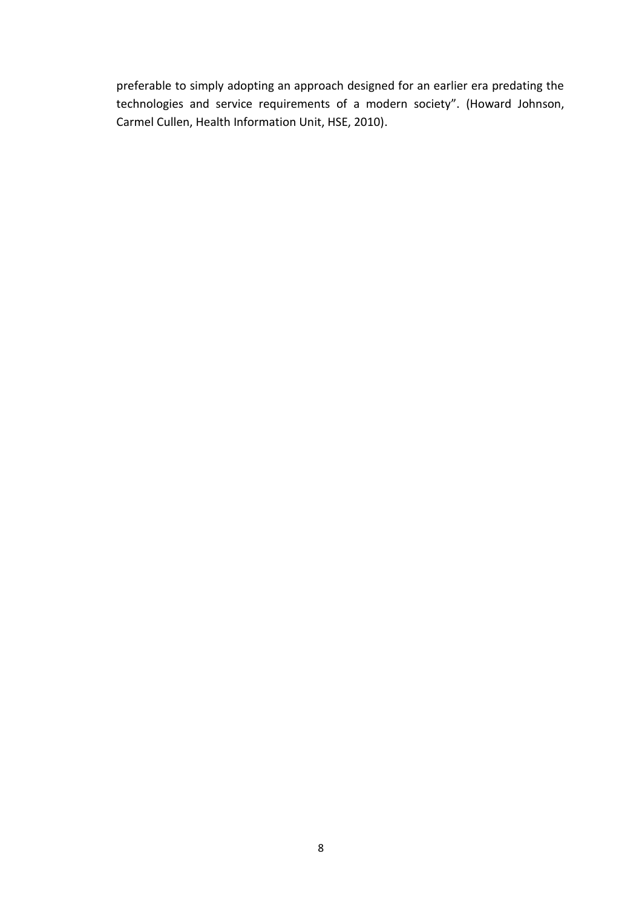preferable to simply adopting an approach designed for an earlier era predating the technologies and service requirements of a modern society". (Howard Johnson, Carmel Cullen, Health Information Unit, HSE, 2010).